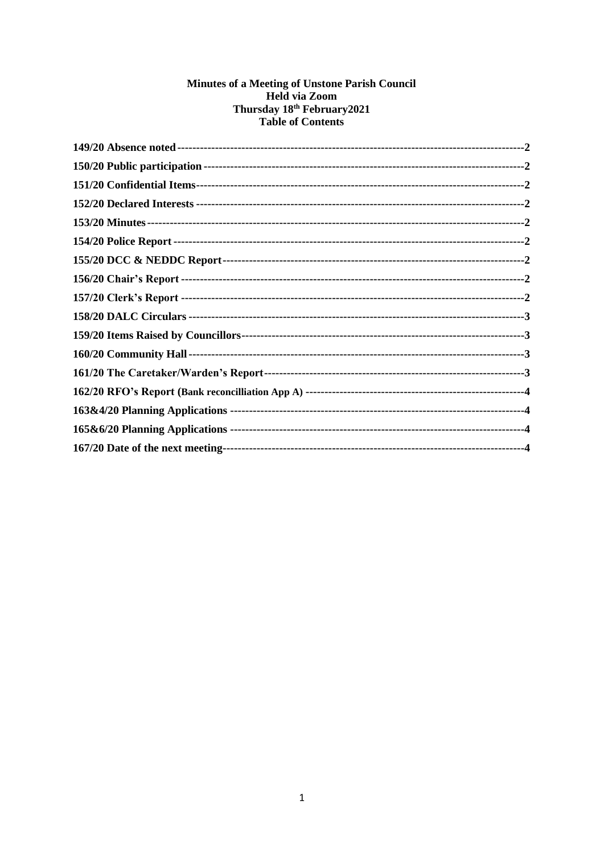# Minutes of a Meeting of Unstone Parish Council Held via Zoom<br>Thursday 18<sup>th</sup> February 2021<br>Table of Contents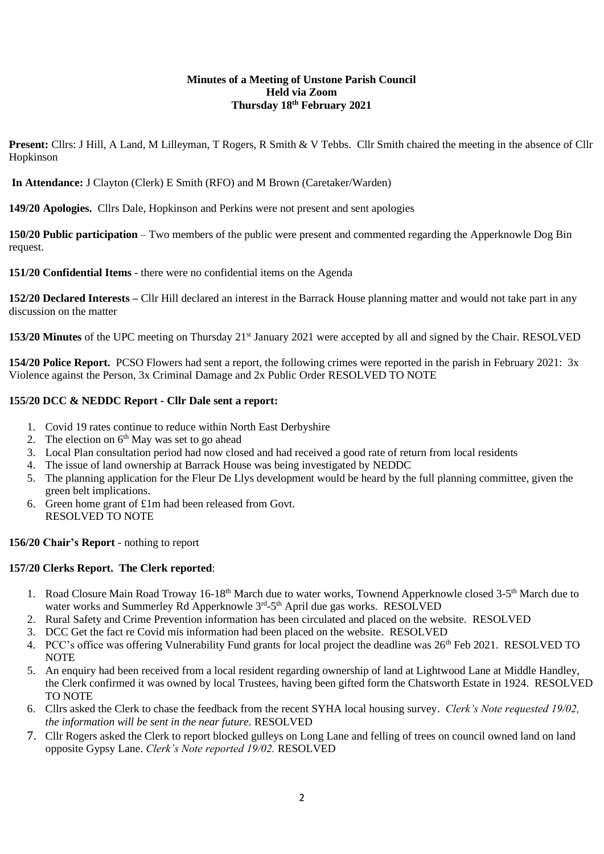#### **Minutes of a Meeting of Unstone Parish Council Held via Zoom Thursday 18th February 2021**

Present: Cllrs: J Hill, A Land, M Lilleyman, T Rogers, R Smith & V Tebbs. Cllr Smith chaired the meeting in the absence of Cllr Hopkinson

**In Attendance:** J Clayton (Clerk) E Smith (RFO) and M Brown (Caretaker/Warden)

<span id="page-1-0"></span>**149/20 Apologies.** Cllrs Dale, Hopkinson and Perkins were not present and sent apologies

<span id="page-1-1"></span>**150/20 Public participation** – Two members of the public were present and commented regarding the Apperknowle Dog Bin request.

<span id="page-1-2"></span>**151/20 Confidential Items** - there were no confidential items on the Agenda

<span id="page-1-3"></span>**152/20 Declared Interests –** Cllr Hill declared an interest in the Barrack House planning matter and would not take part in any discussion on the matter

<span id="page-1-4"></span>**153/20 Minutes** of the UPC meeting on Thursday 21<sup>st</sup> January 2021 were accepted by all and signed by the Chair. RESOLVED

<span id="page-1-5"></span>**154/20 Police Report.** PCSO Flowers had sent a report, the following crimes were reported in the parish in February 2021: 3x Violence against the Person, 3x Criminal Damage and 2x Public Order RESOLVED TO NOTE

#### <span id="page-1-6"></span>**155/20 DCC & NEDDC Report - Cllr Dale sent a report:**

- 1. Covid 19 rates continue to reduce within North East Derbyshire
- 2. The election on  $6<sup>th</sup>$  May was set to go ahead
- 3. Local Plan consultation period had now closed and had received a good rate of return from local residents
- 4. The issue of land ownership at Barrack House was being investigated by NEDDC
- 5. The planning application for the Fleur De Llys development would be heard by the full planning committee, given the green belt implications.
- 6. Green home grant of £1m had been released from Govt. RESOLVED TO NOTE

#### <span id="page-1-7"></span>**156/20 Chair's Report** - nothing to report

### **157/20 Clerks Report. The Clerk reported**:

- 1. Road Closure Main Road Troway 16-18<sup>th</sup> March due to water works, Townend Apperknowle closed 3-5<sup>th</sup> March due to water works and Summerley Rd Apperknowle 3<sup>rd</sup>-5<sup>th</sup> April due gas works. RESOLVED
- 2. Rural Safety and Crime Prevention information has been circulated and placed on the website. RESOLVED
- 3. DCC Get the fact re Covid mis information had been placed on the website. RESOLVED
- 4. PCC's office was offering Vulnerability Fund grants for local project the deadline was  $26<sup>th</sup>$  Feb 2021. RESOLVED TO **NOTE**
- 5. An enquiry had been received from a local resident regarding ownership of land at Lightwood Lane at Middle Handley, the Clerk confirmed it was owned by local Trustees, having been gifted form the Chatsworth Estate in 1924. RESOLVED TO NOTE
- 6. Cllrs asked the Clerk to chase the feedback from the recent SYHA local housing survey. *Clerk's Note requested 19/02, the information will be sent in the near future.* RESOLVED
- 7. Cllr Rogers asked the Clerk to report blocked gulleys on Long Lane and felling of trees on council owned land on land opposite Gypsy Lane. *Clerk's Note reported 19/02.* RESOLVED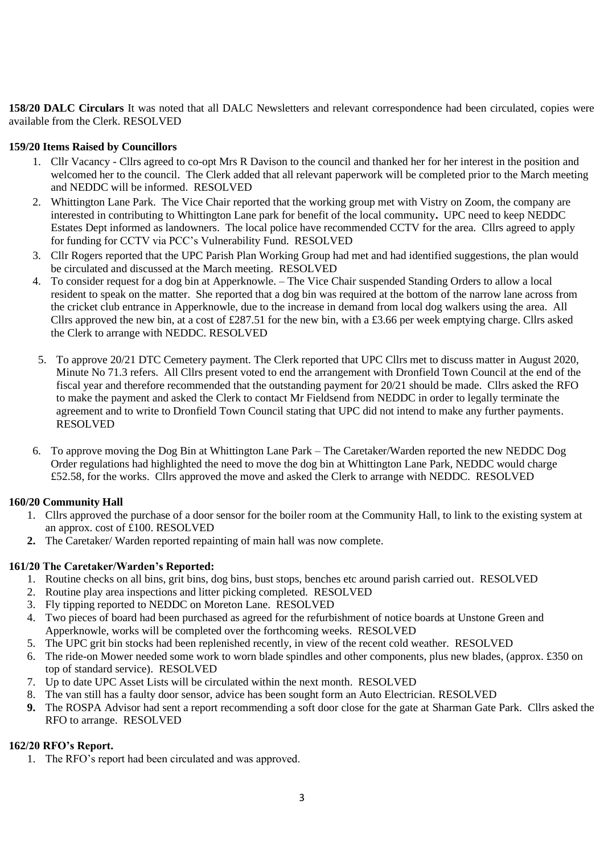<span id="page-2-0"></span>**158/20 DALC Circulars** It was noted that all DALC Newsletters and relevant correspondence had been circulated, copies were available from the Clerk. RESOLVED

#### <span id="page-2-1"></span>**159/20 Items Raised by Councillors**

- 1. Cllr Vacancy Cllrs agreed to co-opt Mrs R Davison to the council and thanked her for her interest in the position and welcomed her to the council. The Clerk added that all relevant paperwork will be completed prior to the March meeting and NEDDC will be informed. RESOLVED
- 2. Whittington Lane Park. The Vice Chair reported that the working group met with Vistry on Zoom, the company are interested in contributing to Whittington Lane park for benefit of the local community**.** UPC need to keep NEDDC Estates Dept informed as landowners. The local police have recommended CCTV for the area. Cllrs agreed to apply for funding for CCTV via PCC's Vulnerability Fund. RESOLVED
- 3. Cllr Rogers reported that the UPC Parish Plan Working Group had met and had identified suggestions, the plan would be circulated and discussed at the March meeting. RESOLVED
- 4. To consider request for a dog bin at Apperknowle. The Vice Chair suspended Standing Orders to allow a local resident to speak on the matter. She reported that a dog bin was required at the bottom of the narrow lane across from the cricket club entrance in Apperknowle, due to the increase in demand from local dog walkers using the area. All Cllrs approved the new bin, at a cost of £287.51 for the new bin, with a £3.66 per week emptying charge. Cllrs asked the Clerk to arrange with NEDDC. RESOLVED
- 5. To approve 20/21 DTC Cemetery payment. The Clerk reported that UPC Cllrs met to discuss matter in August 2020, Minute No 71.3 refers. All Cllrs present voted to end the arrangement with Dronfield Town Council at the end of the fiscal year and therefore recommended that the outstanding payment for 20/21 should be made. Cllrs asked the RFO to make the payment and asked the Clerk to contact Mr Fieldsend from NEDDC in order to legally terminate the agreement and to write to Dronfield Town Council stating that UPC did not intend to make any further payments. RESOLVED
- 6. To approve moving the Dog Bin at Whittington Lane Park The Caretaker/Warden reported the new NEDDC Dog Order regulations had highlighted the need to move the dog bin at Whittington Lane Park, NEDDC would charge £52.58, for the works. Cllrs approved the move and asked the Clerk to arrange with NEDDC. RESOLVED

#### <span id="page-2-2"></span>**160/20 Community Hall**

- 1. Cllrs approved the purchase of a door sensor for the boiler room at the Community Hall, to link to the existing system at an approx. cost of £100. RESOLVED
- **2.** The Caretaker/ Warden reported repainting of main hall was now complete.

#### <span id="page-2-3"></span>**161/20 The Caretaker/Warden's Reported:**

- 1. Routine checks on all bins, grit bins, dog bins, bust stops, benches etc around parish carried out. RESOLVED
- 2. Routine play area inspections and litter picking completed. RESOLVED
- 3. Fly tipping reported to NEDDC on Moreton Lane. RESOLVED
- 4. Two pieces of board had been purchased as agreed for the refurbishment of notice boards at Unstone Green and Apperknowle, works will be completed over the forthcoming weeks. RESOLVED
- 5. The UPC grit bin stocks had been replenished recently, in view of the recent cold weather. RESOLVED
- 6. The ride-on Mower needed some work to worn blade spindles and other components, plus new blades, (approx. £350 on top of standard service). RESOLVED
- 7. Up to date UPC Asset Lists will be circulated within the next month. RESOLVED
- 8. The van still has a faulty door sensor, advice has been sought form an Auto Electrician. RESOLVED
- **9.** The ROSPA Advisor had sent a report recommending a soft door close for the gate at Sharman Gate Park. Cllrs asked the RFO to arrange. RESOLVED

#### <span id="page-2-4"></span>**162/20 RFO's Report.**

1. The RFO's report had been circulated and was approved.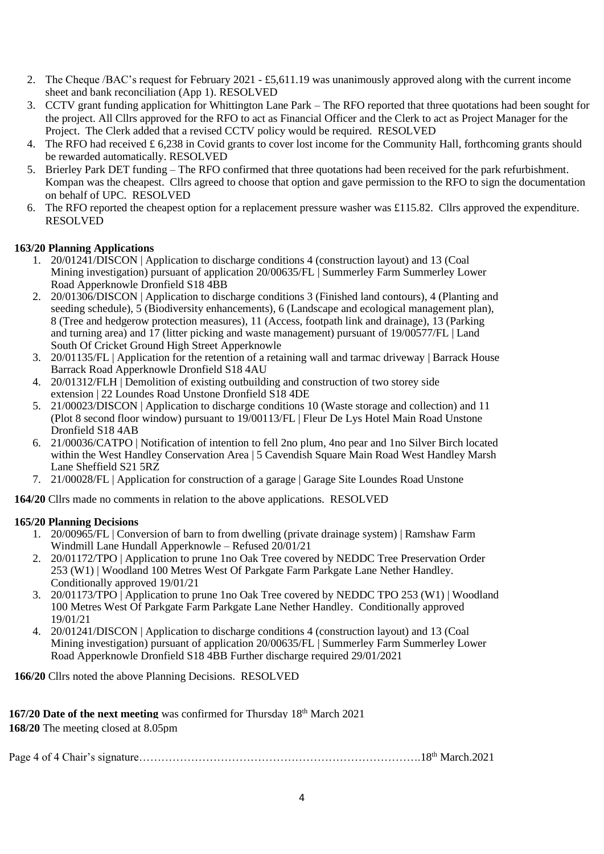- 2. The Cheque /BAC's request for February 2021 £5,611.19 was unanimously approved along with the current income sheet and bank reconciliation (App 1). RESOLVED
- 3. CCTV grant funding application for Whittington Lane Park The RFO reported that three quotations had been sought for the project. All Cllrs approved for the RFO to act as Financial Officer and the Clerk to act as Project Manager for the Project. The Clerk added that a revised CCTV policy would be required. RESOLVED
- 4. The RFO had received  $\pounds$  6,238 in Covid grants to cover lost income for the Community Hall, forthcoming grants should be rewarded automatically. RESOLVED
- 5. Brierley Park DET funding The RFO confirmed that three quotations had been received for the park refurbishment. Kompan was the cheapest. Cllrs agreed to choose that option and gave permission to the RFO to sign the documentation on behalf of UPC. RESOLVED
- 6. The RFO reported the cheapest option for a replacement pressure washer was £115.82. Cllrs approved the expenditure. RESOLVED

#### **163/20 Planning Applications**

- 1. 20/01241/DISCON | Application to discharge conditions 4 (construction layout) and 13 (Coal Mining investigation) pursuant of application 20/00635/FL | Summerley Farm Summerley Lower Road Apperknowle Dronfield S18 4BB
- 2. 20/01306/DISCON | Application to discharge conditions 3 (Finished land contours), 4 (Planting and seeding schedule), 5 (Biodiversity enhancements), 6 (Landscape and ecological management plan), 8 (Tree and hedgerow protection measures), 11 (Access, footpath link and drainage), 13 (Parking and turning area) and 17 (litter picking and waste management) pursuant of 19/00577/FL | Land South Of Cricket Ground High Street Apperknowle
- 3. 20/01135/FL | Application for the retention of a retaining wall and tarmac driveway | Barrack House Barrack Road Apperknowle Dronfield S18 4AU
- 4. 20/01312/FLH | Demolition of existing outbuilding and construction of two storey side extension | 22 Loundes Road Unstone Dronfield S18 4DE
- 5. 21/00023/DISCON | Application to discharge conditions 10 (Waste storage and collection) and 11 (Plot 8 second floor window) pursuant to 19/00113/FL | Fleur De Lys Hotel Main Road Unstone Dronfield S18 4AB
- 6. 21/00036/CATPO | Notification of intention to fell 2no plum, 4no pear and 1no Silver Birch located within the West Handley Conservation Area | 5 Cavendish Square Main Road West Handley Marsh Lane Sheffield S21 5RZ
- 7. 21/00028/FL | Application for construction of a garage | Garage Site Loundes Road Unstone

**164/20** Cllrs made no comments in relation to the above applications. RESOLVED

#### **165/20 Planning Decisions**

- 1. 20/00965/FL | Conversion of barn to from dwelling (private drainage system) | Ramshaw Farm Windmill Lane Hundall Apperknowle – Refused 20/01/21
- 2. 20/01172/TPO | Application to prune 1no Oak Tree covered by NEDDC Tree Preservation Order 253 (W1) | Woodland 100 Metres West Of Parkgate Farm Parkgate Lane Nether Handley. Conditionally approved 19/01/21
- 3. 20/01173/TPO | Application to prune 1no Oak Tree covered by NEDDC TPO 253 (W1) | Woodland 100 Metres West Of Parkgate Farm Parkgate Lane Nether Handley. Conditionally approved 19/01/21
- 4. 20/01241/DISCON | Application to discharge conditions 4 (construction layout) and 13 (Coal Mining investigation) pursuant of application 20/00635/FL | Summerley Farm Summerley Lower Road Apperknowle Dronfield S18 4BB Further discharge required 29/01/2021

**166/20** Cllrs noted the above Planning Decisions. RESOLVED

<span id="page-3-0"></span>**167/20 Date of the next meeting** was confirmed for Thursday 18<sup>th</sup> March 2021 **168/20** The meeting closed at 8.05pm

Page 4 of 4 Chair's signature………………………………………………………………….18th March.2021